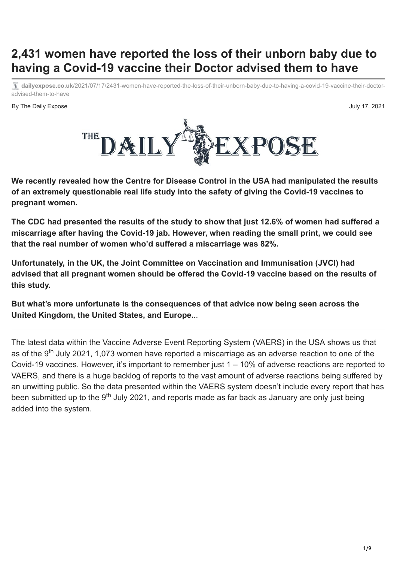# **2,431 women have reported the loss of their unborn baby due to having a Covid-19 vaccine their Doctor advised them to have**

**dailyexpose.co.uk**[/2021/07/17/2431-women-have-reported-the-loss-of-their-unborn-baby-due-to-having-a-covid-19-vaccine-their-doctor](https://dailyexpose.co.uk/2021/07/17/2431-women-have-reported-the-loss-of-their-unborn-baby-due-to-having-a-covid-19-vaccine-their-doctor-advised-them-to-have/)advised-them-to-have

By The Daily Expose July 17, 2021



**We recently revealed how the Centre for Disease Control in the USA had manipulated the results of an extremely questionable real life study into the safety of giving the Covid-19 vaccines to pregnant women.**

**The CDC had presented the results of the study to show that just 12.6% of women had suffered a miscarriage after having the Covid-19 jab. However, when reading the small print, we could see that [the real number of women who'd suffered a miscarriage was 82%.](https://dailyexpose.co.uk/2021/07/06/cdc-manipulated-study-data-to-show-the-covid-19-vaccines-are-safe-for-pregnant-women-when-in-reality-4-in-5-suffered-a-miscarriage/)**

**Unfortunately, in the UK, the Joint Committee on Vaccination and Immunisation (JVCI) had advised that all pregnant women should be offered the Covid-19 vaccine based on the results of this study.**

**But what's more unfortunate is the consequences of that advice now being seen across the United Kingdom, the United States, and Europe.**..

The latest data within the [Vaccine Adverse Event Reporting System](https://wonder.cdc.gov/controller/datarequest/D8;jsessionid=20E4D2AF499A527425EDC523127D) (VAERS) in the USA shows us that as of the 9<sup>th</sup> July 2021, 1,073 women have reported a miscarriage as an adverse reaction to one of the Covid-19 vaccines. However, it's important to remember just 1 – 10% of adverse reactions are reported to VAERS, and there is a huge backlog of reports to the vast amount of adverse reactions being suffered by an unwitting public. So the data presented within the VAERS system doesn't include every report that has been submitted up to the 9<sup>th</sup> July 2021, and reports made as far back as January are only just being added into the system.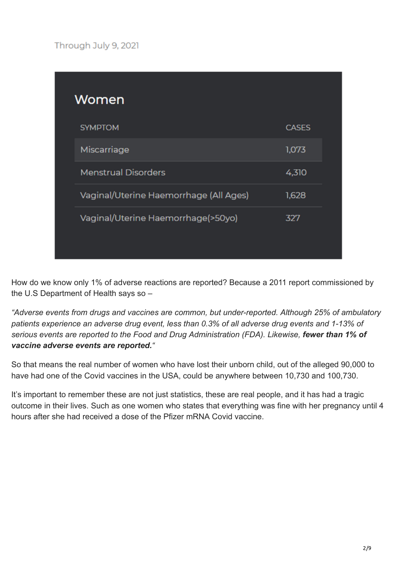Through July 9, 2021

|  | Women                                  |              |  |
|--|----------------------------------------|--------------|--|
|  | <b>SYMPTOM</b>                         | <b>CASES</b> |  |
|  | Miscarriage                            | 1,073        |  |
|  | <b>Menstrual Disorders</b>             | 4,310        |  |
|  | Vaginal/Uterine Haemorrhage (All Ages) | 1,628        |  |
|  | Vaginal/Uterine Haemorrhage(>50yo)     | 327          |  |

How do we know only 1% of adverse reactions are reported? Because [a 2011 report](https://digital.ahrq.gov/sites/default/files/docs/publication/r18hs017045-lazarus-final-report-2011.pdf#:~:text=Adverse%20events%20from%20drugs%20and,and%20Drug%20Administration%20(FDA).) commissioned by the U.S Department of Health says so –

*"Adverse events from drugs and vaccines are common, but under-reported. Although 25% of ambulatory patients experience an adverse drug event, less than 0.3% of all adverse drug events and 1-13% of serious events are reported to the Food and Drug Administration (FDA). Likewise, fewer than 1% of vaccine adverse events are reported."*

So that means the real number of women who have lost their unborn child, out of the alleged 90,000 to have had one of the Covid vaccines in the USA, could be anywhere between 10,730 and 100,730.

It's important to remember these are not just statistics, these are real people, and it has had a tragic outcome in their lives. Such as [one women who states that everything was fine](https://www.openvaers.com/openvaers/958501) with her pregnancy until 4 hours after she had received a dose of the Pfizer mRNA Covid vaccine.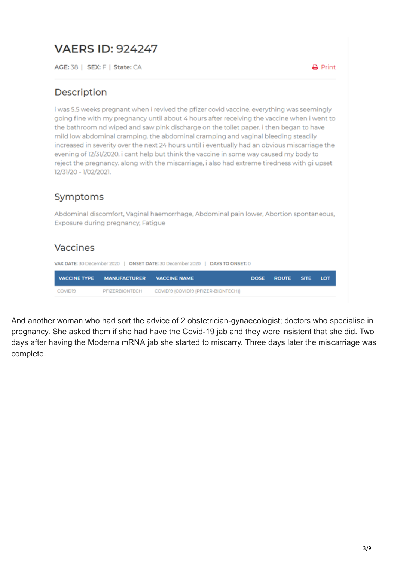## **VAERS ID: 924247**

AGE: 38 | SEX: F | State: CA

 $\rightarrow$  Print

#### Description

i was 5.5 weeks pregnant when i revived the pfizer covid vaccine, everything was seemingly going fine with my pregnancy until about 4 hours after receiving the vaccine when i went to the bathroom nd wiped and saw pink discharge on the toilet paper. i then began to have mild low abdominal cramping, the abdominal cramping and vaginal bleeding steadily increased in severity over the next 24 hours until i eventually had an obvious miscarriage the evening of 12/31/2020. i cant help but think the vaccine in some way caused my body to reject the pregnancy, along with the miscarriage, i also had extreme tiredness with gi upset 12/31/20 - 1/02/2021.

#### Symptoms

Abdominal discomfort, Vaginal haemorrhage, Abdominal pain lower, Abortion spontaneous, Exposure during pregnancy, Fatigue

#### Vaccines

VAX DATE: 30 December 2020 | ONSET DATE: 30 December 2020 | DAYS TO ONSET: 0 **VACCINE TYPE MANUFACTURER DOSE ROUTE VACCINE NAME SITE** LOT **COVID19 PEIZERBIONTECH** COVID19 (COVID19 (PFIZER-BIONTECH))

And [another woman who had sort the advice of 2 obstetrician-gynaecologist](https://www.openvaers.com/openvaers/958501); doctors who specialise in pregnancy. She asked them if she had have the Covid-19 jab and they were insistent that she did. Two days after having the Moderna mRNA jab she started to miscarry. Three days later the miscarriage was complete.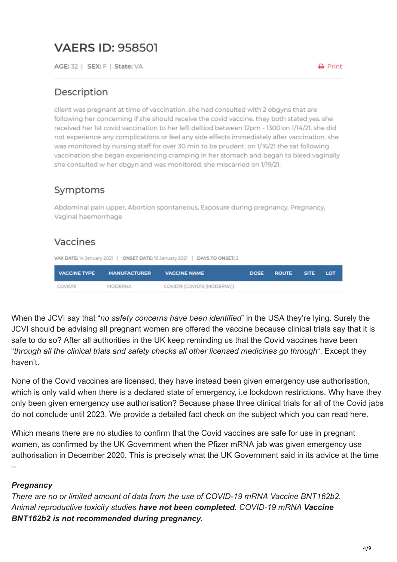# **VAERS ID: 958501**

AGE: 32 | SEX: F | State: VA

#### Description

client was pregnant at time of vaccination, she had consulted with 2 obgyns that are following her concerning if she should receive the covid vaccine. they both stated yes. she received her 1st covid vaccination to her left deltiod between 12pm - 1300 on 1/14/21. she did not experience any complications or feel any side effects immediately after vaccination, she was monitored by nursing staff for over 30 min to be prudent, on 1/16/21 the sat following vaccination she began experiencing cramping in her stomach and began to bleed vaginally. she consulted w her obgyn and was monitored. she miscarried on 1/19/21.

#### Symptoms

Abdominal pain upper, Abortion spontaneous, Exposure during pregnancy, Pregnancy, Vaginal haemorrhage

#### Vaccines

VAX DATE: 14 January 2021 | ONSET DATE: 16 January 2021 | DAYS TO ONSET: 2

| <b>VACCINE TYPE</b> | <b>MANUFACTURER</b> | <b>VACCINE NAME</b>         | DOSE ROUTE SITE | LOT |
|---------------------|---------------------|-----------------------------|-----------------|-----|
| COVID19             | MODERNA             | COVID19 (COVID19 (MODERNA)) |                 |     |

When the JCVI say that "*no safety concerns have been identified*" in the USA they're lying. Surely the JCVI should be advising all pregnant women are offered the vaccine because clinical trials say that it is safe to do so? After all authorities in the UK [keep reminding us](https://www.nhs.uk/conditions/coronavirus-covid-19/coronavirus-vaccination/coronavirus-vaccine/) that the Covid vaccines have been "*through all the clinical trials and safety checks all other licensed medicines go through*". Except they haven't.

None of the Covid vaccines are licensed, they have instead been given emergency use authorisation, which is only valid when there is a declared state of emergency, i.e lockdown restrictions. Why have they only been given emergency use authorisation? Because phase three clinical trials for all of the Covid jabs do not conclude until 2023. We provide a detailed fact check on the subject which you can read [here](https://dailyexpose.co.uk/2021/04/14/fact-check-full-fact-say-the-covid-vaccines-are-not-experimental-theyre-lying/).

Which means there are no studies to confirm that the Covid vaccines are safe for use in pregnant women, as confirmed by the UK Government when the Pfizer mRNA jab was given emergency use authorisation in December 2020. This is precisely what the UK Government said in its advice at the time –

#### *Pregnancy*

*There are no or limited amount of data from the use of COVID-19 mRNA Vaccine BNT162b2. Animal reproductive toxicity studies have not been completed. COVID-19 mRNA Vaccine BNT162b2 is not recommended during pregnancy.*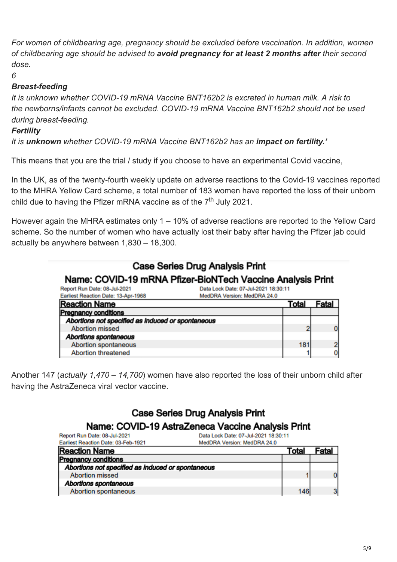*For women of childbearing age, pregnancy should be excluded before vaccination. In addition, women of childbearing age should be advised to avoid pregnancy for at least 2 months after their second dose.*

*6*

#### *Breast-feeding*

*It is unknown whether COVID-19 mRNA Vaccine BNT162b2 is excreted in human milk. A risk to the newborns/infants cannot be excluded. COVID-19 mRNA Vaccine BNT162b2 should not be used during breast-feeding.*

#### *Fertility*

*It is unknown whether COVID-19 mRNA Vaccine BNT162b2 has an impact on fertility.'*

This means that you are the trial / study if you choose to have an experimental Covid vaccine,

In the UK, [as of the twenty-fourth weekly update](https://dailyexpose.co.uk/2021/07/16/birth-defects-paralysis-stroke-blindness-uk-gov-release-24th-report-on-adverse-reactions-to-the-covid-19-vaccines/) on adverse reactions to the Covid-19 vaccines reported to the MHRA Yellow Card scheme, a total number of 183 women have reported the loss of their unborn child due to having the Pfizer mRNA vaccine as of the  $7<sup>th</sup>$  July 2021.

However again the MHRA estimates only 1 – 10% of adverse reactions are reported to the Yellow Card scheme. So the number of women who have actually lost their baby after having the Pfizer jab could actually be anywhere between 1,830 – 18,300.

#### Case Series Drug Analysis Print Name: COVID-19 mRNA Pfizer-BioNTech Vaccine Analysis Print Report Run Date: 08-Jul-2021 Data Lock Date: 07-Jul-2021 18:30:11 MedDRA Version: MedDRA 24.0 Earliest Reaction Date: 13-Apr-1968 **Reaction Name Total** Fatal **Pregnancy conditions** Abortions not specified as induced or spontaneous **Abortion missed**  $\overline{2}$  $\bf{0}$ Abortions spontaneous

Another 147 (*actually 1,470 – 14,700*) women have also reported the loss of their unborn child after having the AstraZeneca viral vector vaccine.

**Abortion spontaneous** 

**Abortion threatened** 

## **Case Series Drug Analysis Print**

### Name: COVID-19 AstraZeneca Vaccine Analysis Print

| Data Lock Date: 07-Jul-2021 18:30:11<br>Report Run Date: 08-Jul-2021 |                             |       |       |
|----------------------------------------------------------------------|-----------------------------|-------|-------|
| Earliest Reaction Date: 03-Feb-1921                                  | MedDRA Version: MedDRA 24.0 |       |       |
| <b>Reaction Name</b>                                                 |                             | Total | Fatal |
| <b>Pregnancy conditions</b>                                          |                             |       |       |
| Abortions not specified as induced or spontaneous                    |                             |       |       |
| <b>Abortion missed</b>                                               |                             |       | 0     |
| Abortions spontaneous                                                |                             |       |       |
| Abortion spontaneous                                                 |                             | 146   | 3     |

181

1

 $\overline{2}$ 

 $\mathbf{0}$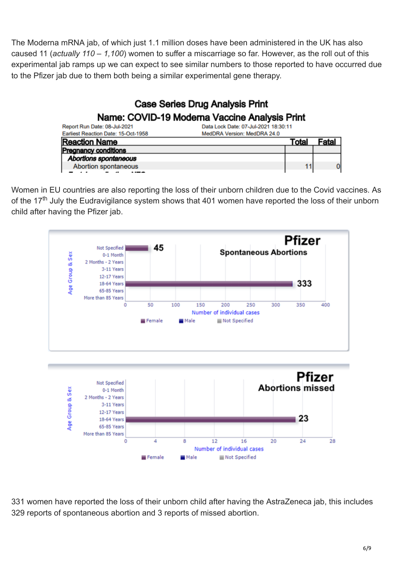The Moderna mRNA jab, of which just 1.1 million doses have been administered in the UK has also caused 11 (*actually 110 – 1,100*) women to suffer a miscarriage so far. However, as the roll out of this experimental jab ramps up we can expect to see similar numbers to those reported to have occurred due to the Pfizer jab due to them both being a similar experimental gene therapy.

#### **Case Series Drug Analysis Print** Name: COVID-19 Moderna Vaccine Analysis Print Report Run Date: 08-Jul-2021 Data Lock Date: 07-Jul-2021 18:30:11 Earliest Reaction Date: 15-Oct-1958 MedDRA Version: MedDRA 24.0 **Reaction Name Total** Fatal **Pregnancy conditions** Abortions spontaneous **Abortion spontaneous**

Women in EU countries are also reporting the loss of their unborn children due to the Covid vaccines. As of the 17<sup>th</sup> July the [Eudravigilance system](https://www.adrreports.eu/en/search_subst.html) shows that 401 women have reported the loss of their unborn child after having the Pfizer jab.



331 women have reported the loss of their unborn child after having the AstraZeneca jab, this includes 329 reports of spontaneous abortion and 3 reports of missed abortion.

 $\Omega$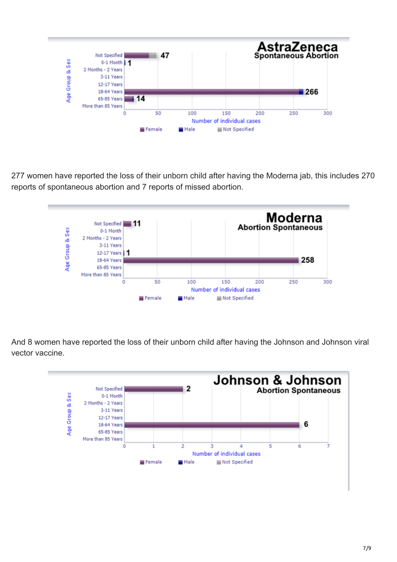

277 women have reported the loss of their unborn child after having the Moderna jab, this includes 270 reports of spontaneous abortion and 7 reports of missed abortion.



And 8 women have reported the loss of their unborn child after having the Johnson and Johnson viral vector vaccine.

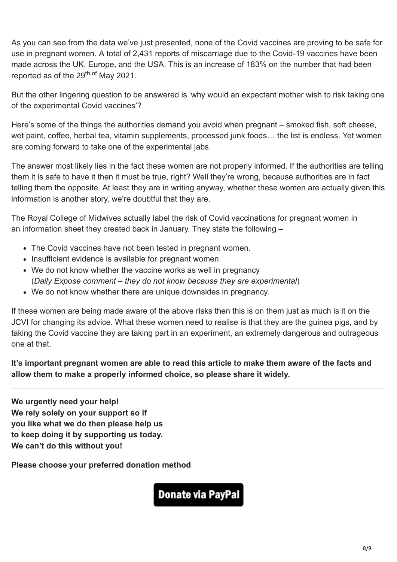As you can see from the data we've just presented, none of the Covid vaccines are proving to be safe for use in pregnant women. A total of 2,431 reports of miscarriage due to the Covid-19 vaccines have been made across the UK, Europe, and the USA. This is an increase of 183% on the number that had been reported as of the 29<sup>th of</sup> May 2021.

But the other lingering question to be answered is 'why would an expectant mother wish to risk taking one of the experimental Covid vaccines'?

Here's some of the things the authorities demand you avoid when pregnant – smoked fish, soft cheese, wet paint, coffee, herbal tea, vitamin supplements, processed junk foods… the list is endless. Yet women are coming forward to take one of the experimental jabs.

The answer most likely lies in the fact these women are not properly informed. If the authorities are telling them it is safe to have it then it must be true, right? Well they're wrong, because authorities are in fact telling them the opposite. At least they are in writing anyway, whether these women are actually given this information is another story, we're doubtful that they are.

The Royal College of Midwives actually label the risk of Covid vaccinations for pregnant women in an [information sheet](https://www.rcog.org.uk/globalassets/documents/guidelines/2021-01-12-covid-19-vaccine-info-sheet.pdf) they created back in January. They state the following –

- The Covid vaccines have not been tested in pregnant women.
- Insufficient evidence is available for pregnant women.
- We do not know whether the vaccine works as well in pregnancy (*Daily Expose comment – they do not know because they are experimental*)
- We do not know whether there are unique downsides in pregnancy.

If these women are being made aware of the above risks then this is on them just as much is it on the JCVI for changing its advice. What these women need to realise is that they are the guinea pigs, and by taking the Covid vaccine they are taking part in an experiment, an extremely dangerous and outrageous one at that.

**It's important pregnant women are able to read this article to make them aware of the facts and allow them to make a properly informed choice, so please share it widely.**

**[We urgently need your help!](https://dailyexpose.co.uk/2021/07/01/july-fundraising-campaign/) [We rely solely on your support so if](https://dailyexpose.co.uk/2021/07/01/july-fundraising-campaign/)  [you like what we do then please help us](https://dailyexpose.co.uk/2021/07/01/july-fundraising-campaign/)  [to keep doing it by supporting us today.](https://dailyexpose.co.uk/2021/07/01/july-fundraising-campaign/)  [We can't do this without you!](https://dailyexpose.co.uk/2021/07/01/july-fundraising-campaign/)**

**Please choose your preferred donation method**

**Donate via PayPal**